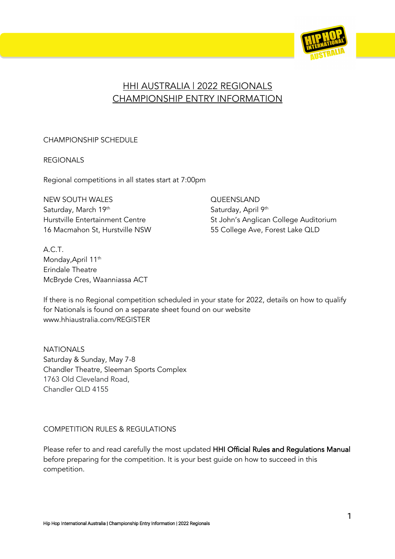

# HHI AUSTRALIA | 2022 REGIONALS CHAMPIONSHIP ENTRY INFORMATION

## CHAMPIONSHIP SCHEDULE

REGIONALS

Regional competitions in all states start at 7:00pm

NEW SOUTH WALES **CULLED AND SOUTH WALES** Saturday, March 19<sup>th</sup> Saturday, April 9<sup>th</sup> Saturday, April 9<sup>th</sup> 16 Macmahon St, Hurstville NSW 55 College Ave, Forest Lake QLD

A.C.T. Monday, April 11<sup>th</sup> Erindale Theatre McBryde Cres, Waanniassa ACT

Hurstville Entertainment Centre St John's Anglican College Auditorium

If there is no Regional competition scheduled in your state for 2022, details on how to qualify for Nationals is found on a separate sheet found on our website www.hhiaustralia.com/REGISTER

NATIONALS Saturday & Sunday, May 7-8 Chandler Theatre, Sleeman Sports Complex 1763 Old Cleveland Road, Chandler QLD 4155

# COMPETITION RULES & REGULATIONS

Please refer to and read carefully the most updated HHI Official Rules and Regulations Manual before preparing for the competition. It is your best guide on how to succeed in this competition.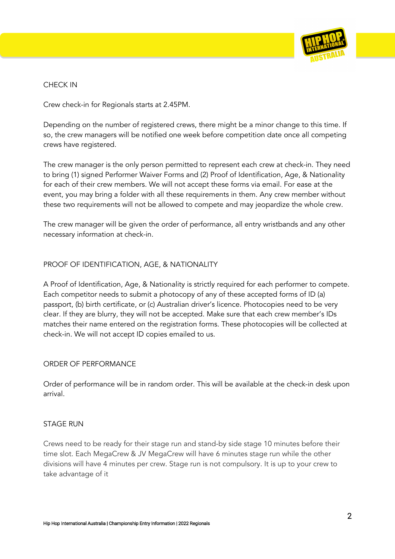

## CHECK IN

Crew check-in for Regionals starts at 2.45PM.

Depending on the number of registered crews, there might be a minor change to this time. If so, the crew managers will be notified one week before competition date once all competing crews have registered.

The crew manager is the only person permitted to represent each crew at check-in. They need to bring (1) signed Performer Waiver Forms and (2) Proof of Identification, Age, & Nationality for each of their crew members. We will not accept these forms via email. For ease at the event, you may bring a folder with all these requirements in them. Any crew member without these two requirements will not be allowed to compete and may jeopardize the whole crew.

The crew manager will be given the order of performance, all entry wristbands and any other necessary information at check-in.

## PROOF OF IDENTIFICATION, AGE, & NATIONALITY

A Proof of Identification, Age, & Nationality is strictly required for each performer to compete. Each competitor needs to submit a photocopy of any of these accepted forms of ID (a) passport, (b) birth certificate, or (c) Australian driver's licence. Photocopies need to be very clear. If they are blurry, they will not be accepted. Make sure that each crew member's IDs matches their name entered on the registration forms. These photocopies will be collected at check-in. We will not accept ID copies emailed to us.

#### ORDER OF PERFORMANCE

Order of performance will be in random order. This will be available at the check-in desk upon arrival.

#### STAGE RUN

Crews need to be ready for their stage run and stand-by side stage 10 minutes before their time slot. Each MegaCrew & JV MegaCrew will have 6 minutes stage run while the other divisions will have 4 minutes per crew. Stage run is not compulsory. It is up to your crew to take advantage of it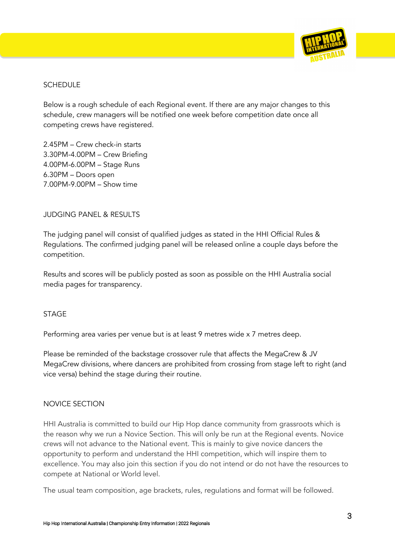

## SCHEDULE

Below is a rough schedule of each Regional event. If there are any major changes to this schedule, crew managers will be notified one week before competition date once all competing crews have registered.

2.45PM – Crew check-in starts 3.30PM-4.00PM – Crew Briefing 4.00PM-6.00PM – Stage Runs 6.30PM – Doors open 7.00PM-9.00PM – Show time

#### JUDGING PANEL & RESULTS

The judging panel will consist of qualified judges as stated in the HHI Official Rules & Regulations. The confirmed judging panel will be released online a couple days before the competition.

Results and scores will be publicly posted as soon as possible on the HHI Australia social media pages for transparency.

#### **STAGE**

Performing area varies per venue but is at least 9 metres wide x 7 metres deep.

Please be reminded of the backstage crossover rule that affects the MegaCrew & JV MegaCrew divisions, where dancers are prohibited from crossing from stage left to right (and vice versa) behind the stage during their routine.

#### NOVICE SECTION

HHI Australia is committed to build our Hip Hop dance community from grassroots which is the reason why we run a Novice Section. This will only be run at the Regional events. Novice crews will not advance to the National event. This is mainly to give novice dancers the opportunity to perform and understand the HHI competition, which will inspire them to excellence. You may also join this section if you do not intend or do not have the resources to compete at National or World level.

The usual team composition, age brackets, rules, regulations and format will be followed.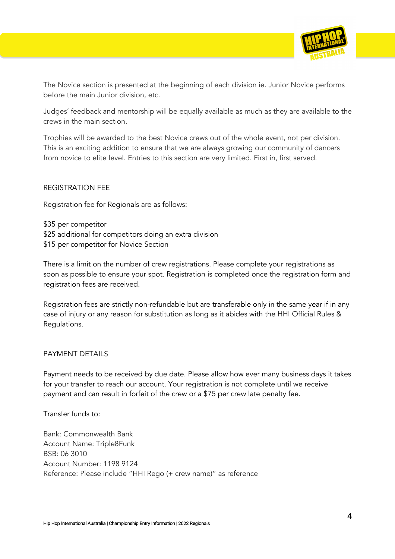

The Novice section is presented at the beginning of each division ie. Junior Novice performs before the main Junior division, etc.

Judges' feedback and mentorship will be equally available as much as they are available to the crews in the main section.

Trophies will be awarded to the best Novice crews out of the whole event, not per division. This is an exciting addition to ensure that we are always growing our community of dancers from novice to elite level. Entries to this section are very limited. First in, first served.

#### REGISTRATION FEE

Registration fee for Regionals are as follows:

\$35 per competitor \$25 additional for competitors doing an extra division \$15 per competitor for Novice Section

There is a limit on the number of crew registrations. Please complete your registrations as soon as possible to ensure your spot. Registration is completed once the registration form and registration fees are received.

Registration fees are strictly non-refundable but are transferable only in the same year if in any case of injury or any reason for substitution as long as it abides with the HHI Official Rules & Regulations.

#### PAYMENT DETAILS

Payment needs to be received by due date. Please allow how ever many business days it takes for your transfer to reach our account. Your registration is not complete until we receive payment and can result in forfeit of the crew or a \$75 per crew late penalty fee.

Transfer funds to:

Bank: Commonwealth Bank Account Name: Triple8Funk BSB: 06 3010 Account Number: 1198 9124 Reference: Please include "HHI Rego (+ crew name)" as reference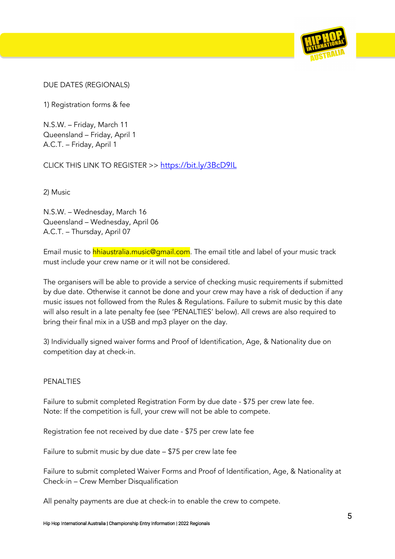

DUE DATES (REGIONALS)

1) Registration forms & fee

N.S.W. – Friday, March 11 Queensland – Friday, April 1 A.C.T. – Friday, April 1

CLICK THIS LINK TO REGISTER >> https://bit.ly/3BcD9IL

2) Music

N.S.W. – Wednesday, March 16 Queensland – Wednesday, April 06 A.C.T. – Thursday, April 07

Email music to hhiaustralia.music@gmail.com. The email title and label of your music track must include your crew name or it will not be considered.

The organisers will be able to provide a service of checking music requirements if submitted by due date. Otherwise it cannot be done and your crew may have a risk of deduction if any music issues not followed from the Rules & Regulations. Failure to submit music by this date will also result in a late penalty fee (see 'PENALTIES' below). All crews are also required to bring their final mix in a USB and mp3 player on the day.

3) Individually signed waiver forms and Proof of Identification, Age, & Nationality due on competition day at check-in.

# PENALTIES

Failure to submit completed Registration Form by due date - \$75 per crew late fee. Note: If the competition is full, your crew will not be able to compete.

Registration fee not received by due date - \$75 per crew late fee

Failure to submit music by due date – \$75 per crew late fee

Failure to submit completed Waiver Forms and Proof of Identification, Age, & Nationality at Check-in – Crew Member Disqualification

All penalty payments are due at check-in to enable the crew to compete.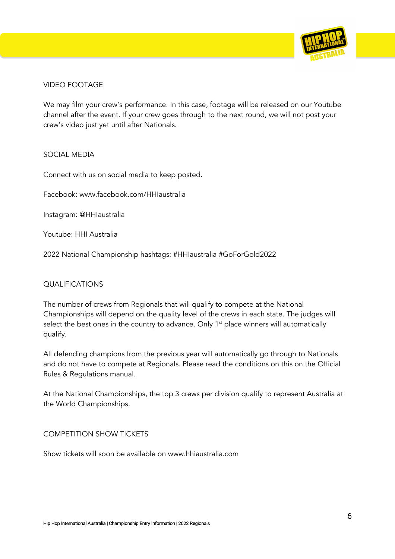

## VIDEO FOOTAGE

We may film your crew's performance. In this case, footage will be released on our Youtube channel after the event. If your crew goes through to the next round, we will not post your crew's video just yet until after Nationals.

#### SOCIAL MEDIA

Connect with us on social media to keep posted.

Facebook: www.facebook.com/HHIaustralia

Instagram: @HHIaustralia

Youtube: HHI Australia

2022 National Championship hashtags: #HHIaustralia #GoForGold2022

#### **QUALIFICATIONS**

The number of crews from Regionals that will qualify to compete at the National Championships will depend on the quality level of the crews in each state. The judges will select the best ones in the country to advance. Only  $1<sup>st</sup>$  place winners will automatically qualify.

All defending champions from the previous year will automatically go through to Nationals and do not have to compete at Regionals. Please read the conditions on this on the Official Rules & Regulations manual.

At the National Championships, the top 3 crews per division qualify to represent Australia at the World Championships.

#### COMPETITION SHOW TICKETS

Show tickets will soon be available on www.hhiaustralia.com